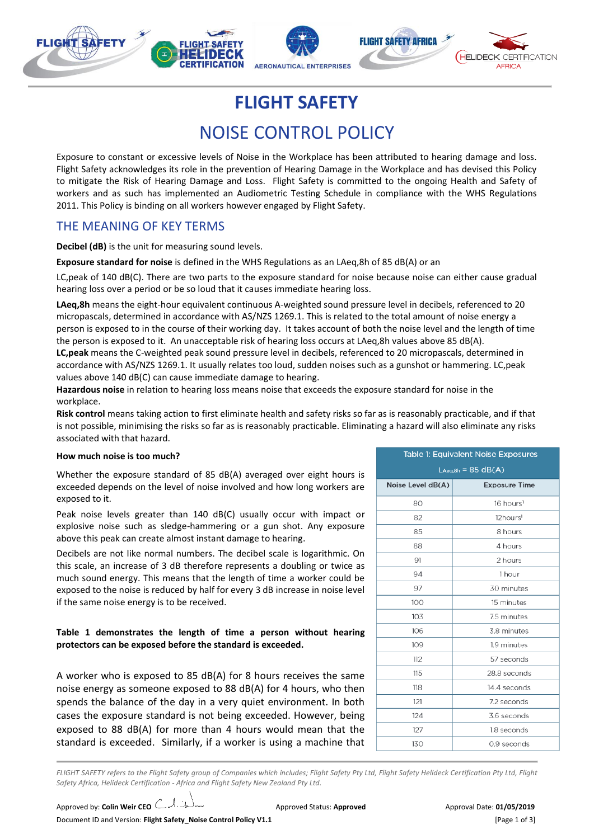

**FLIGHT SAFETY** 

# NOISE CONTROL POLICY

Exposure to constant or excessive levels of Noise in the Workplace has been attributed to hearing damage and loss. Flight Safety acknowledges its role in the prevention of Hearing Damage in the Workplace and has devised this Policy to mitigate the Risk of Hearing Damage and Loss. Flight Safety is committed to the ongoing Health and Safety of workers and as such has implemented an Audiometric Testing Schedule in compliance with the WHS Regulations 2011. This Policy is binding on all workers however engaged by Flight Safety.

## THE MEANING OF KEY TERMS

**Decibel (dB)** is the unit for measuring sound levels.

**Exposure standard for noise** is defined in the WHS Regulations as an LAeq,8h of 85 dB(A) or an

LC,peak of 140 dB(C). There are two parts to the exposure standard for noise because noise can either cause gradual hearing loss over a period or be so loud that it causes immediate hearing loss.

**LAeq,8h** means the eight-hour equivalent continuous A-weighted sound pressure level in decibels, referenced to 20 micropascals, determined in accordance with AS/NZS 1269.1. This is related to the total amount of noise energy a person is exposed to in the course of their working day. It takes account of both the noise level and the length of time the person is exposed to it. An unacceptable risk of hearing loss occurs at LAeq,8h values above 85 dB(A). **LC,peak** means the C-weighted peak sound pressure level in decibels, referenced to 20 micropascals, determined in

accordance with AS/NZS 1269.1. It usually relates too loud, sudden noises such as a gunshot or hammering. LC,peak values above 140 dB(C) can cause immediate damage to hearing.

**Hazardous noise** in relation to hearing loss means noise that exceeds the exposure standard for noise in the workplace.

**Risk control** means taking action to first eliminate health and safety risks so far as is reasonably practicable, and if that is not possible, minimising the risks so far as is reasonably practicable. Eliminating a hazard will also eliminate any risks associated with that hazard.

#### **How much noise is too much?**

Whether the exposure standard of 85 dB(A) averaged over eight hours is exceeded depends on the level of noise involved and how long workers are exposed to it.

Peak noise levels greater than 140 dB(C) usually occur with impact or explosive noise such as sledge-hammering or a gun shot. Any exposure above this peak can create almost instant damage to hearing.

Decibels are not like normal numbers. The decibel scale is logarithmic. On this scale, an increase of 3 dB therefore represents a doubling or twice as much sound energy. This means that the length of time a worker could be exposed to the noise is reduced by half for every 3 dB increase in noise level if the same noise energy is to be received.

#### **Table 1 demonstrates the length of time a person without hearing protectors can be exposed before the standard is exceeded.**

A worker who is exposed to 85 dB(A) for 8 hours receives the same noise energy as someone exposed to 88 dB(A) for 4 hours, who then spends the balance of the day in a very quiet environment. In both cases the exposure standard is not being exceeded. However, being exposed to 88 dB(A) for more than 4 hours would mean that the standard is exceeded. Similarly, if a worker is using a machine that

| Table 1: Equivalent Noise Exposures |                       |  |
|-------------------------------------|-----------------------|--|
| $L$ Aeq,8h = 85 dB $(A)$            |                       |  |
| Noise Level dB(A)                   | <b>Exposure Time</b>  |  |
| 80                                  | 16 hours <sup>1</sup> |  |
| 82                                  | 12hours <sup>1</sup>  |  |
| 85                                  | 8 hours               |  |
| 88                                  | 4 hours               |  |
| 91                                  | 2 hours               |  |
| 94                                  | 1 hour                |  |
| 97                                  | 30 minutes            |  |
| 100                                 | 15 minutes            |  |
| 103                                 | 7.5 minutes           |  |
| 106                                 | 3.8 minutes           |  |
| 109                                 | 1.9 minutes           |  |
| 112                                 | 57 seconds            |  |
| 115                                 | 28.8 seconds          |  |
| 118                                 | 14.4 seconds          |  |
| 121                                 | 7.2 seconds           |  |
| 124                                 | 3.6 seconds           |  |
| 127                                 | 1.8 seconds           |  |
| 130                                 | 0.9 seconds           |  |

FLIGHT SAFETY refers to the Flight Safety group of Companies which includes; Flight Safety Pty Ltd, Flight Safety Helideck Certification Pty Ltd, Flight *Safety Africa, Helideck Certification - Africa and Flight Safety New Zealand Pty Ltd.*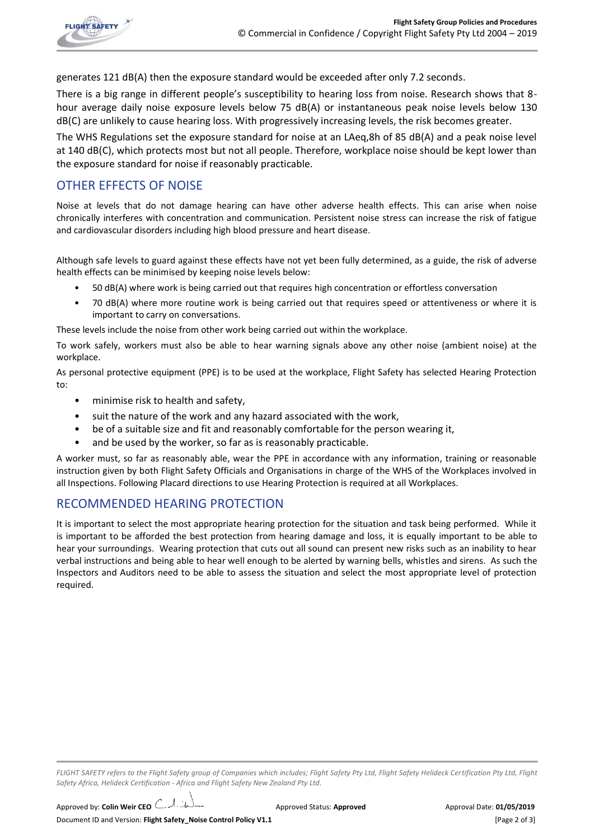

generates 121 dB(A) then the exposure standard would be exceeded after only 7.2 seconds.

There is a big range in different people's susceptibility to hearing loss from noise. Research shows that 8 hour average daily noise exposure levels below 75 dB(A) or instantaneous peak noise levels below 130 dB(C) are unlikely to cause hearing loss. With progressively increasing levels, the risk becomes greater.

The WHS Regulations set the exposure standard for noise at an LAeq,8h of 85 dB(A) and a peak noise level at 140 dB(C), which protects most but not all people. Therefore, workplace noise should be kept lower than the exposure standard for noise if reasonably practicable.

## OTHER EFFECTS OF NOISE

Noise at levels that do not damage hearing can have other adverse health effects. This can arise when noise chronically interferes with concentration and communication. Persistent noise stress can increase the risk of fatigue and cardiovascular disorders including high blood pressure and heart disease.

Although safe levels to guard against these effects have not yet been fully determined, as a guide, the risk of adverse health effects can be minimised by keeping noise levels below:

- 50 dB(A) where work is being carried out that requires high concentration or effortless conversation
- 70 dB(A) where more routine work is being carried out that requires speed or attentiveness or where it is important to carry on conversations.

These levels include the noise from other work being carried out within the workplace.

To work safely, workers must also be able to hear warning signals above any other noise (ambient noise) at the workplace.

As personal protective equipment (PPE) is to be used at the workplace, Flight Safety has selected Hearing Protection to:

- minimise risk to health and safety,
- suit the nature of the work and any hazard associated with the work,
- be of a suitable size and fit and reasonably comfortable for the person wearing it,
- and be used by the worker, so far as is reasonably practicable.

A worker must, so far as reasonably able, wear the PPE in accordance with any information, training or reasonable instruction given by both Flight Safety Officials and Organisations in charge of the WHS of the Workplaces involved in all Inspections. Following Placard directions to use Hearing Protection is required at all Workplaces.

### RECOMMENDED HEARING PROTECTION

It is important to select the most appropriate hearing protection for the situation and task being performed. While it is important to be afforded the best protection from hearing damage and loss, it is equally important to be able to hear your surroundings. Wearing protection that cuts out all sound can present new risks such as an inability to hear verbal instructions and being able to hear well enough to be alerted by warning bells, whistles and sirens. As such the Inspectors and Auditors need to be able to assess the situation and select the most appropriate level of protection required.

*FLIGHT SAFETY refers to the Flight Safety group of Companies which includes; Flight Safety Pty Ltd, Flight Safety Helideck Certification Pty Ltd, Flight Safety Africa, Helideck Certification - Africa and Flight Safety New Zealand Pty Ltd.*